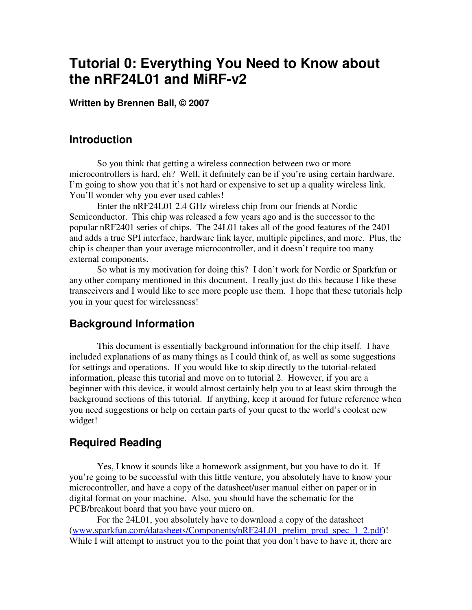# **Tutorial 0: Everything You Need to Know about the nRF24L01 and MiRF-v2**

**Written by Brennen Ball, © 2007** 

### **Introduction**

So you think that getting a wireless connection between two or more microcontrollers is hard, eh? Well, it definitely can be if you're using certain hardware. I'm going to show you that it's not hard or expensive to set up a quality wireless link. You'll wonder why you ever used cables!

 Enter the nRF24L01 2.4 GHz wireless chip from our friends at Nordic Semiconductor. This chip was released a few years ago and is the successor to the popular nRF2401 series of chips. The 24L01 takes all of the good features of the 2401 and adds a true SPI interface, hardware link layer, multiple pipelines, and more. Plus, the chip is cheaper than your average microcontroller, and it doesn't require too many external components.

 So what is my motivation for doing this? I don't work for Nordic or Sparkfun or any other company mentioned in this document. I really just do this because I like these transceivers and I would like to see more people use them. I hope that these tutorials help you in your quest for wirelessness!

# **Background Information**

This document is essentially background information for the chip itself. I have included explanations of as many things as I could think of, as well as some suggestions for settings and operations. If you would like to skip directly to the tutorial-related information, please this tutorial and move on to tutorial 2. However, if you are a beginner with this device, it would almost certainly help you to at least skim through the background sections of this tutorial. If anything, keep it around for future reference when you need suggestions or help on certain parts of your quest to the world's coolest new widget!

### **Required Reading**

 Yes, I know it sounds like a homework assignment, but you have to do it. If you're going to be successful with this little venture, you absolutely have to know your microcontroller, and have a copy of the datasheet/user manual either on paper or in digital format on your machine. Also, you should have the schematic for the PCB/breakout board that you have your micro on.

For the 24L01, you absolutely have to download a copy of the datasheet (www.sparkfun.com/datasheets/Components/nRF24L01\_prelim\_prod\_spec\_1\_2.pdf)! While I will attempt to instruct you to the point that you don't have to have it, there are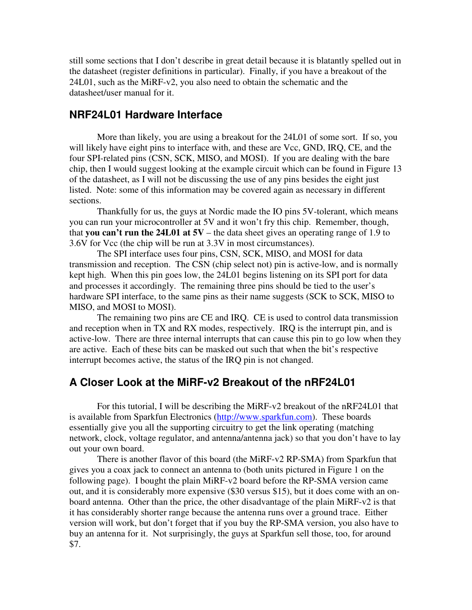still some sections that I don't describe in great detail because it is blatantly spelled out in the datasheet (register definitions in particular). Finally, if you have a breakout of the 24L01, such as the MiRF-v2, you also need to obtain the schematic and the datasheet/user manual for it.

### **NRF24L01 Hardware Interface**

More than likely, you are using a breakout for the 24L01 of some sort. If so, you will likely have eight pins to interface with, and these are Vcc, GND, IRQ, CE, and the four SPI-related pins (CSN, SCK, MISO, and MOSI). If you are dealing with the bare chip, then I would suggest looking at the example circuit which can be found in Figure 13 of the datasheet, as I will not be discussing the use of any pins besides the eight just listed. Note: some of this information may be covered again as necessary in different sections.

Thankfully for us, the guys at Nordic made the IO pins 5V-tolerant, which means you can run your microcontroller at 5V and it won't fry this chip. Remember, though, that **you can't run the 24L01 at 5V** – the data sheet gives an operating range of 1.9 to 3.6V for Vcc (the chip will be run at 3.3V in most circumstances).

The SPI interface uses four pins, CSN, SCK, MISO, and MOSI for data transmission and reception. The CSN (chip select not) pin is active-low, and is normally kept high. When this pin goes low, the 24L01 begins listening on its SPI port for data and processes it accordingly. The remaining three pins should be tied to the user's hardware SPI interface, to the same pins as their name suggests (SCK to SCK, MISO to MISO, and MOSI to MOSI).

The remaining two pins are CE and IRQ. CE is used to control data transmission and reception when in TX and RX modes, respectively. IRQ is the interrupt pin, and is active-low. There are three internal interrupts that can cause this pin to go low when they are active. Each of these bits can be masked out such that when the bit's respective interrupt becomes active, the status of the IRQ pin is not changed.

### **A Closer Look at the MiRF-v2 Breakout of the nRF24L01**

 For this tutorial, I will be describing the MiRF-v2 breakout of the nRF24L01 that is available from Sparkfun Electronics (http://www.sparkfun.com). These boards essentially give you all the supporting circuitry to get the link operating (matching network, clock, voltage regulator, and antenna/antenna jack) so that you don't have to lay out your own board.

There is another flavor of this board (the MiRF-v2 RP-SMA) from Sparkfun that gives you a coax jack to connect an antenna to (both units pictured in Figure 1 on the following page). I bought the plain MiRF-v2 board before the RP-SMA version came out, and it is considerably more expensive (\$30 versus \$15), but it does come with an onboard antenna. Other than the price, the other disadvantage of the plain MiRF-v2 is that it has considerably shorter range because the antenna runs over a ground trace. Either version will work, but don't forget that if you buy the RP-SMA version, you also have to buy an antenna for it. Not surprisingly, the guys at Sparkfun sell those, too, for around \$7.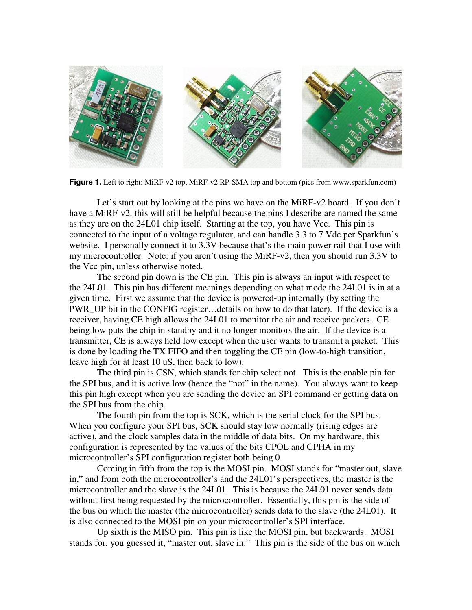

**Figure 1.** Left to right: MiRF-v2 top, MiRF-v2 RP-SMA top and bottom (pics from www.sparkfun.com)

 Let's start out by looking at the pins we have on the MiRF-v2 board. If you don't have a MiRF-v2, this will still be helpful because the pins I describe are named the same as they are on the 24L01 chip itself. Starting at the top, you have Vcc. This pin is connected to the input of a voltage regulator, and can handle 3.3 to 7 Vdc per Sparkfun's website. I personally connect it to 3.3V because that's the main power rail that I use with my microcontroller. Note: if you aren't using the MiRF-v2, then you should run 3.3V to the Vcc pin, unless otherwise noted.

 The second pin down is the CE pin. This pin is always an input with respect to the 24L01. This pin has different meanings depending on what mode the 24L01 is in at a given time. First we assume that the device is powered-up internally (by setting the PWR\_UP bit in the CONFIG register…details on how to do that later). If the device is a receiver, having CE high allows the 24L01 to monitor the air and receive packets. CE being low puts the chip in standby and it no longer monitors the air. If the device is a transmitter, CE is always held low except when the user wants to transmit a packet. This is done by loading the TX FIFO and then toggling the CE pin (low-to-high transition, leave high for at least 10 uS, then back to low).

 The third pin is CSN, which stands for chip select not. This is the enable pin for the SPI bus, and it is active low (hence the "not" in the name). You always want to keep this pin high except when you are sending the device an SPI command or getting data on the SPI bus from the chip.

 The fourth pin from the top is SCK, which is the serial clock for the SPI bus. When you configure your SPI bus, SCK should stay low normally (rising edges are active), and the clock samples data in the middle of data bits. On my hardware, this configuration is represented by the values of the bits CPOL and CPHA in my microcontroller's SPI configuration register both being 0.

 Coming in fifth from the top is the MOSI pin. MOSI stands for "master out, slave in," and from both the microcontroller's and the 24L01's perspectives, the master is the microcontroller and the slave is the 24L01. This is because the 24L01 never sends data without first being requested by the microcontroller. Essentially, this pin is the side of the bus on which the master (the microcontroller) sends data to the slave (the 24L01). It is also connected to the MOSI pin on your microcontroller's SPI interface.

 Up sixth is the MISO pin. This pin is like the MOSI pin, but backwards. MOSI stands for, you guessed it, "master out, slave in." This pin is the side of the bus on which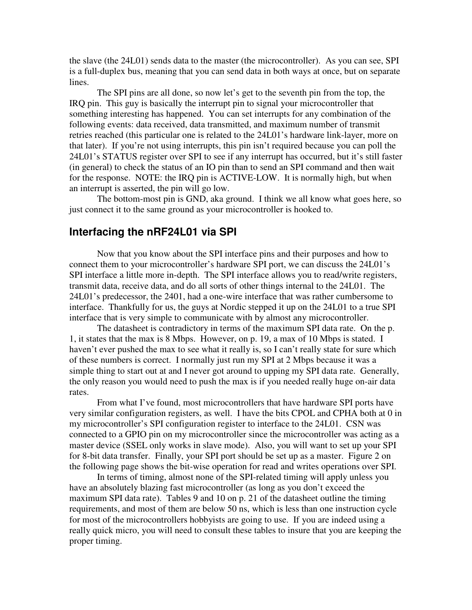the slave (the 24L01) sends data to the master (the microcontroller). As you can see, SPI is a full-duplex bus, meaning that you can send data in both ways at once, but on separate lines.

 The SPI pins are all done, so now let's get to the seventh pin from the top, the IRQ pin. This guy is basically the interrupt pin to signal your microcontroller that something interesting has happened. You can set interrupts for any combination of the following events: data received, data transmitted, and maximum number of transmit retries reached (this particular one is related to the 24L01's hardware link-layer, more on that later). If you're not using interrupts, this pin isn't required because you can poll the 24L01's STATUS register over SPI to see if any interrupt has occurred, but it's still faster (in general) to check the status of an IO pin than to send an SPI command and then wait for the response. NOTE: the IRQ pin is ACTIVE-LOW. It is normally high, but when an interrupt is asserted, the pin will go low.

 The bottom-most pin is GND, aka ground. I think we all know what goes here, so just connect it to the same ground as your microcontroller is hooked to.

### **Interfacing the nRF24L01 via SPI**

 Now that you know about the SPI interface pins and their purposes and how to connect them to your microcontroller's hardware SPI port, we can discuss the 24L01's SPI interface a little more in-depth. The SPI interface allows you to read/write registers, transmit data, receive data, and do all sorts of other things internal to the 24L01. The 24L01's predecessor, the 2401, had a one-wire interface that was rather cumbersome to interface. Thankfully for us, the guys at Nordic stepped it up on the 24L01 to a true SPI interface that is very simple to communicate with by almost any microcontroller.

 The datasheet is contradictory in terms of the maximum SPI data rate. On the p. 1, it states that the max is 8 Mbps. However, on p. 19, a max of 10 Mbps is stated. I haven't ever pushed the max to see what it really is, so I can't really state for sure which of these numbers is correct. I normally just run my SPI at 2 Mbps because it was a simple thing to start out at and I never got around to upping my SPI data rate. Generally, the only reason you would need to push the max is if you needed really huge on-air data rates.

 From what I've found, most microcontrollers that have hardware SPI ports have very similar configuration registers, as well. I have the bits CPOL and CPHA both at 0 in my microcontroller's SPI configuration register to interface to the 24L01. CSN was connected to a GPIO pin on my microcontroller since the microcontroller was acting as a master device (SSEL only works in slave mode). Also, you will want to set up your SPI for 8-bit data transfer. Finally, your SPI port should be set up as a master. Figure 2 on the following page shows the bit-wise operation for read and writes operations over SPI.

 In terms of timing, almost none of the SPI-related timing will apply unless you have an absolutely blazing fast microcontroller (as long as you don't exceed the maximum SPI data rate). Tables 9 and 10 on p. 21 of the datasheet outline the timing requirements, and most of them are below 50 ns, which is less than one instruction cycle for most of the microcontrollers hobbyists are going to use. If you are indeed using a really quick micro, you will need to consult these tables to insure that you are keeping the proper timing.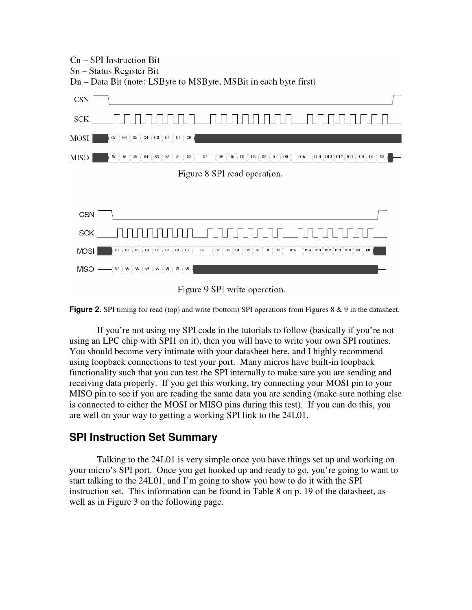

Figure 9 SPI write operation.

**Figure 2.** SPI timing for read (top) and write (bottom) SPI operations from Figures 8 & 9 in the datasheet.

If you're not using my SPI code in the tutorials to follow (basically if you're not using an LPC chip with SPI1 on it), then you will have to write your own SPI routines. You should become very intimate with your datasheet here, and I highly recommend using loopback connections to test your port. Many micros have built-in loopback functionality such that you can test the SPI internally to make sure you are sending and receiving data properly. If you get this working, try connecting your MOSI pin to your MISO pin to see if you are reading the same data you are sending (make sure nothing else is connected to either the MOSI or MISO pins during this test). If you can do this, you are well on your way to getting a working SPI link to the 24L01.

# **SPI Instruction Set Summary**

Talking to the 24L01 is very simple once you have things set up and working on your micro's SPI port. Once you get hooked up and ready to go, you're going to want to start talking to the 24L01, and I'm going to show you how to do it with the SPI instruction set. This information can be found in Table 8 on p. 19 of the datasheet, as well as in Figure 3 on the following page.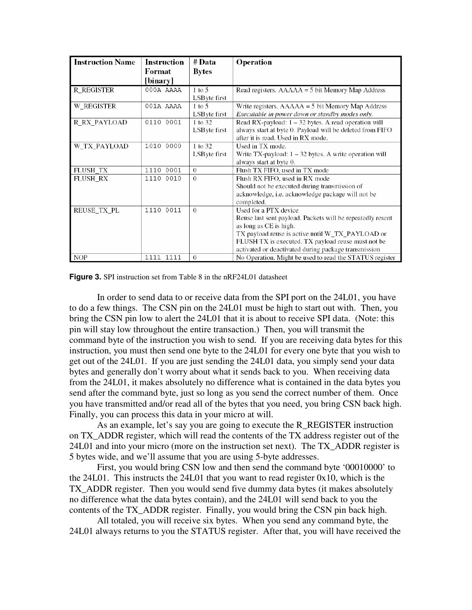| <b>Instruction Name</b> | <b>Instruction</b><br>Format<br>[binary] | # Data<br><b>Bytes</b>             | Operation                                                                                                                                                                                                                                                                       |
|-------------------------|------------------------------------------|------------------------------------|---------------------------------------------------------------------------------------------------------------------------------------------------------------------------------------------------------------------------------------------------------------------------------|
| R REGISTER              | 000A AAAA                                | $1$ to $5$<br>LSB yte first        | Read registers. $AAAAA = 5$ bit Memory Map Address                                                                                                                                                                                                                              |
| W REGISTER              | 001A AAAA                                | $1 \text{ to } 5$<br>LSB yte first | Write registers. $AAAAA = 5$ bit Memory Map Address<br>Executable in power down or standby modes only.                                                                                                                                                                          |
| R RX PAYLOAD            | 0110 0001                                | 1 to 32<br>LSB yte first           | Read RX-payload: $1 - 32$ bytes. A read operation will<br>always start at byte 0. Payload will be deleted from FIFO<br>after it is read. Used in RX mode.                                                                                                                       |
| W_TX_PAYLOAD            | 1010 0000                                | 1 to 32<br>LSB yte first           | Used in TX mode.<br>Write TX-payload: $1 - 32$ bytes. A write operation will<br>always start at byte 0.                                                                                                                                                                         |
| FLUSH TX                | 1110 0001                                | $\Omega$                           | Flush TX FIFO, used in TX mode                                                                                                                                                                                                                                                  |
| <b>FLUSH RX</b>         | 1110<br>0010                             | $\Omega$                           | Flush RX FIFO, used in RX mode<br>Should not be executed during transmission of<br>acknowledge, i.e. acknowledge package will not be<br>completed.                                                                                                                              |
| REUSE TX PL             | 1110 0011                                | $\Omega$                           | Used for a PTX device<br>Reuse last sent payload. Packets will be repeatedly resent<br>as long as CE is high.<br>TX payload reuse is active until W_TX_PAYLOAD or<br>FLUSH TX is executed. TX payload reuse must not be<br>activated or deactivated during package transmission |
| <b>NOP</b>              | 1111 1111                                | $\Omega$                           | No Operation. Might be used to read the STATUS register                                                                                                                                                                                                                         |

#### **Figure 3.** SPI instruction set from Table 8 in the nRF24L01 datasheet

In order to send data to or receive data from the SPI port on the 24L01, you have to do a few things. The CSN pin on the 24L01 must be high to start out with. Then, you bring the CSN pin low to alert the 24L01 that it is about to receive SPI data. (Note: this pin will stay low throughout the entire transaction.) Then, you will transmit the command byte of the instruction you wish to send. If you are receiving data bytes for this instruction, you must then send one byte to the 24L01 for every one byte that you wish to get out of the 24L01. If you are just sending the 24L01 data, you simply send your data bytes and generally don't worry about what it sends back to you. When receiving data from the 24L01, it makes absolutely no difference what is contained in the data bytes you send after the command byte, just so long as you send the correct number of them. Once you have transmitted and/or read all of the bytes that you need, you bring CSN back high. Finally, you can process this data in your micro at will.

As an example, let's say you are going to execute the R\_REGISTER instruction on TX\_ADDR register, which will read the contents of the TX address register out of the 24L01 and into your micro (more on the instruction set next). The TX\_ADDR register is 5 bytes wide, and we'll assume that you are using 5-byte addresses.

First, you would bring CSN low and then send the command byte '00010000' to the 24L01. This instructs the 24L01 that you want to read register 0x10, which is the TX\_ADDR register. Then you would send five dummy data bytes (it makes absolutely no difference what the data bytes contain), and the 24L01 will send back to you the contents of the TX ADDR register. Finally, you would bring the CSN pin back high.

All totaled, you will receive six bytes. When you send any command byte, the 24L01 always returns to you the STATUS register. After that, you will have received the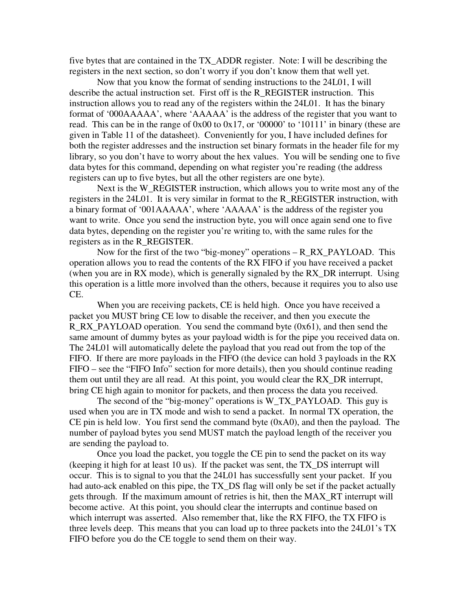five bytes that are contained in the TX\_ADDR register. Note: I will be describing the registers in the next section, so don't worry if you don't know them that well yet.

Now that you know the format of sending instructions to the 24L01, I will describe the actual instruction set. First off is the R\_REGISTER instruction. This instruction allows you to read any of the registers within the 24L01. It has the binary format of '000AAAAA', where 'AAAAA' is the address of the register that you want to read. This can be in the range of 0x00 to 0x17, or '00000' to '10111' in binary (these are given in Table 11 of the datasheet). Conveniently for you, I have included defines for both the register addresses and the instruction set binary formats in the header file for my library, so you don't have to worry about the hex values. You will be sending one to five data bytes for this command, depending on what register you're reading (the address registers can up to five bytes, but all the other registers are one byte).

Next is the W\_REGISTER instruction, which allows you to write most any of the registers in the 24L01. It is very similar in format to the R\_REGISTER instruction, with a binary format of '001AAAAA', where 'AAAAA' is the address of the register you want to write. Once you send the instruction byte, you will once again send one to five data bytes, depending on the register you're writing to, with the same rules for the registers as in the R\_REGISTER.

Now for the first of the two "big-money" operations – R\_RX\_PAYLOAD. This operation allows you to read the contents of the RX FIFO if you have received a packet (when you are in RX mode), which is generally signaled by the RX\_DR interrupt. Using this operation is a little more involved than the others, because it requires you to also use CE.

When you are receiving packets, CE is held high. Once you have received a packet you MUST bring CE low to disable the receiver, and then you execute the R\_RX\_PAYLOAD operation. You send the command byte (0x61), and then send the same amount of dummy bytes as your payload width is for the pipe you received data on. The 24L01 will automatically delete the payload that you read out from the top of the FIFO. If there are more payloads in the FIFO (the device can hold 3 payloads in the RX FIFO – see the "FIFO Info" section for more details), then you should continue reading them out until they are all read. At this point, you would clear the RX\_DR interrupt, bring CE high again to monitor for packets, and then process the data you received.

The second of the "big-money" operations is W\_TX\_PAYLOAD. This guy is used when you are in TX mode and wish to send a packet. In normal TX operation, the CE pin is held low. You first send the command byte  $(0xA0)$ , and then the payload. The number of payload bytes you send MUST match the payload length of the receiver you are sending the payload to.

Once you load the packet, you toggle the CE pin to send the packet on its way (keeping it high for at least 10 us). If the packet was sent, the TX\_DS interrupt will occur. This is to signal to you that the 24L01 has successfully sent your packet. If you had auto-ack enabled on this pipe, the TX\_DS flag will only be set if the packet actually gets through. If the maximum amount of retries is hit, then the MAX\_RT interrupt will become active. At this point, you should clear the interrupts and continue based on which interrupt was asserted. Also remember that, like the RX FIFO, the TX FIFO is three levels deep. This means that you can load up to three packets into the 24L01's TX FIFO before you do the CE toggle to send them on their way.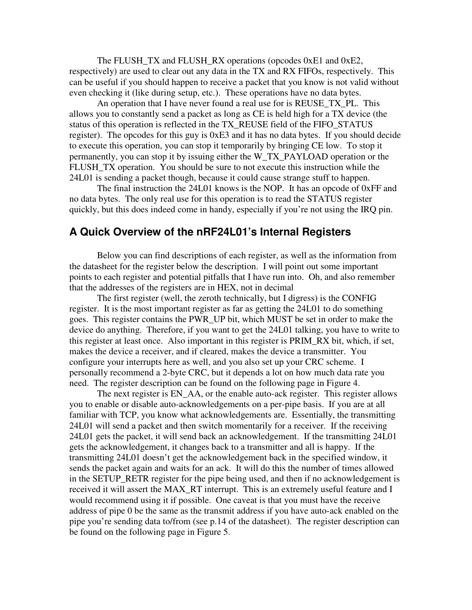The FLUSH TX and FLUSH RX operations (opcodes 0xE1 and 0xE2, respectively) are used to clear out any data in the TX and RX FIFOs, respectively. This can be useful if you should happen to receive a packet that you know is not valid without even checking it (like during setup, etc.). These operations have no data bytes.

An operation that I have never found a real use for is REUSE TX PL. This allows you to constantly send a packet as long as CE is held high for a TX device (the status of this operation is reflected in the TX\_REUSE field of the FIFO\_STATUS register). The opcodes for this guy is 0xE3 and it has no data bytes. If you should decide to execute this operation, you can stop it temporarily by bringing CE low. To stop it permanently, you can stop it by issuing either the W\_TX\_PAYLOAD operation or the FLUSH\_TX operation. You should be sure to not execute this instruction while the 24L01 is sending a packet though, because it could cause strange stuff to happen.

The final instruction the 24L01 knows is the NOP. It has an opcode of 0xFF and no data bytes. The only real use for this operation is to read the STATUS register quickly, but this does indeed come in handy, especially if you're not using the IRQ pin.

# **A Quick Overview of the nRF24L01's Internal Registers**

 Below you can find descriptions of each register, as well as the information from the datasheet for the register below the description. I will point out some important points to each register and potential pitfalls that I have run into. Oh, and also remember that the addresses of the registers are in HEX, not in decimal

 The first register (well, the zeroth technically, but I digress) is the CONFIG register. It is the most important register as far as getting the 24L01 to do something goes. This register contains the PWR\_UP bit, which MUST be set in order to make the device do anything. Therefore, if you want to get the 24L01 talking, you have to write to this register at least once. Also important in this register is PRIM\_RX bit, which, if set, makes the device a receiver, and if cleared, makes the device a transmitter. You configure your interrupts here as well, and you also set up your CRC scheme. I personally recommend a 2-byte CRC, but it depends a lot on how much data rate you need. The register description can be found on the following page in Figure 4.

The next register is EN\_AA, or the enable auto-ack register. This register allows you to enable or disable auto-acknowledgements on a per-pipe basis. If you are at all familiar with TCP, you know what acknowledgements are. Essentially, the transmitting 24L01 will send a packet and then switch momentarily for a receiver. If the receiving 24L01 gets the packet, it will send back an acknowledgement. If the transmitting 24L01 gets the acknowledgement, it changes back to a transmitter and all is happy. If the transmitting 24L01 doesn't get the acknowledgement back in the specified window, it sends the packet again and waits for an ack. It will do this the number of times allowed in the SETUP\_RETR register for the pipe being used, and then if no acknowledgement is received it will assert the MAX\_RT interrupt. This is an extremely useful feature and I would recommend using it if possible. One caveat is that you must have the receive address of pipe 0 be the same as the transmit address if you have auto-ack enabled on the pipe you're sending data to/from (see p.14 of the datasheet). The register description can be found on the following page in Figure 5.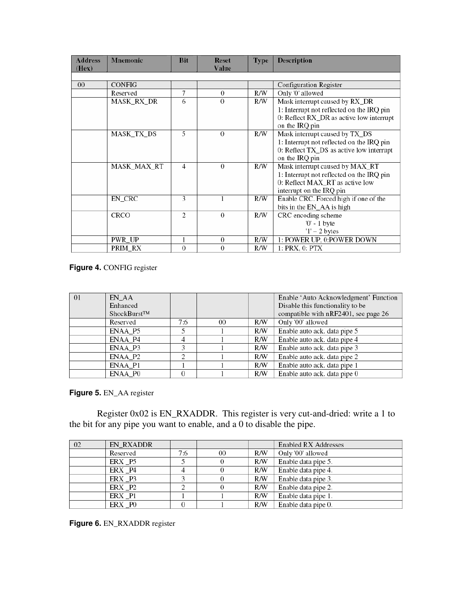| <b>Address</b><br>(Hex) | <b>Mnemonic</b>    | <b>Bit</b>     | <b>Reset</b><br><b>Value</b> | <b>Type</b> | Description                               |
|-------------------------|--------------------|----------------|------------------------------|-------------|-------------------------------------------|
|                         |                    |                |                              |             |                                           |
| $00\,$                  | <b>CONFIG</b>      |                |                              |             | Configuration Register                    |
|                         | Reserved           | 7              | $\Omega$                     | R/W         | Only '0' allowed                          |
|                         | MASK_RX_DR         | 6              | $\theta$                     | R/W         | Mask interrupt caused by RX_DR            |
|                         |                    |                |                              |             | 1: Interrupt not reflected on the IRQ pin |
|                         |                    |                |                              |             | 0: Reflect RX_DR as active low interrupt  |
|                         |                    |                |                              |             | on the IRQ pin                            |
|                         | <b>MASK_TX_DS</b>  | 5              | $\Omega$                     | R/W         | Mask interrupt caused by TX_DS            |
|                         |                    |                |                              |             | 1: Interrupt not reflected on the IRQ pin |
|                         |                    |                |                              |             | 0: Reflect TX_DS as active low interrupt  |
|                         |                    |                |                              |             | on the IRQ pin                            |
|                         | <b>MASK_MAX_RT</b> | 4              | $\theta$                     | R/W         | Mask interrupt caused by MAX_RT           |
|                         |                    |                |                              |             | 1: Interrupt not reflected on the IRQ pin |
|                         |                    |                |                              |             | 0: Reflect MAX_RT as active low           |
|                         |                    |                |                              |             | interrupt on the IRQ pin                  |
|                         | EN_CRC             | 3              |                              | R/W         | Enable CRC. Forced high if one of the     |
|                         |                    |                |                              |             | bits in the EN_AA is high                 |
|                         | <b>CRCO</b>        | 2              | $\theta$                     | R/W         | CRC encoding scheme                       |
|                         |                    |                |                              |             | $0'$ - 1 byte                             |
|                         |                    |                |                              |             | $'1'$ – 2 bytes                           |
|                         | PWR_UP             |                | $\boldsymbol{0}$             | R/W         | 1: POWER UP, 0:POWER DOWN                 |
|                         | PRIM_RX            | $\overline{0}$ | $\theta$                     | R/W         | 1: PRX, 0: PTX                            |

**Figure 4.** CONFIG register

| -01 | EN AA<br>Enhanced<br>ShockBurst <sup>TM</sup> |     |    |     | Enable 'Auto Acknowledgment' Function<br>Disable this functionality to be<br>compatible with nRF2401, see page 26 |
|-----|-----------------------------------------------|-----|----|-----|-------------------------------------------------------------------------------------------------------------------|
|     | Reserved                                      | 7:6 | 00 | R/W | Only '00' allowed                                                                                                 |
|     | ENAA_P5                                       |     |    | R/W | Enable auto ack. data pipe 5                                                                                      |
|     | ENAA P4                                       | 4   |    | R/W | Enable auto ack. data pipe 4                                                                                      |
|     | ENAA P3                                       |     |    | R/W | Enable auto ack. data pipe 3                                                                                      |
|     | ENAA_P2                                       |     |    | R/W | Enable auto ack. data pipe 2                                                                                      |
|     | ENAA_P1                                       |     |    | R/W | Enable auto ack. data pipe 1                                                                                      |
|     | ENAA_P0                                       |     |    | R/W | Enable auto ack. data pipe 0                                                                                      |

**Figure 5.** EN\_AA register

 Register 0x02 is EN\_RXADDR. This register is very cut-and-dried: write a 1 to the bit for any pipe you want to enable, and a 0 to disable the pipe.

| 02 | EN_RXADDR |     |    |     | <b>Enabled RX Addresses</b> |
|----|-----------|-----|----|-----|-----------------------------|
|    | Reserved  | 7:6 | 00 | R/W | Only '00' allowed           |
|    | ERX P5    |     | 0  | R/W | Enable data pipe 5.         |
|    | ERX P4    |     |    | R/W | Enable data pipe 4.         |
|    | ERX P3    |     |    | R/W | Enable data pipe 3.         |
|    | ERX P2    |     |    | R/W | Enable data pipe 2.         |
|    | ERX P1    |     |    | R/W | Enable data pipe 1.         |
|    | ERX _P0   |     |    | R/W | Enable data pipe 0.         |

**Figure 6.** EN\_RXADDR register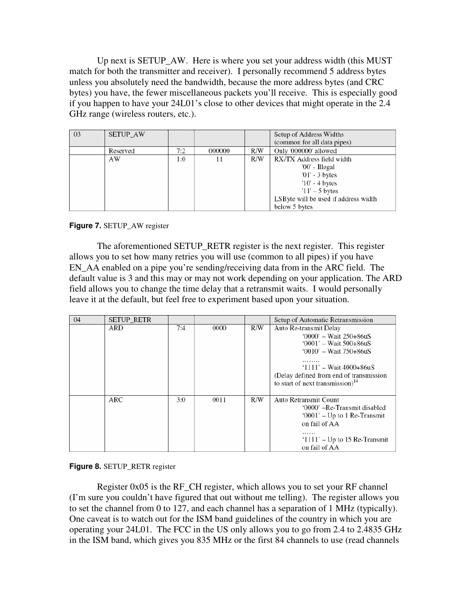Up next is SETUP\_AW. Here is where you set your address width (this MUST match for both the transmitter and receiver). I personally recommend 5 address bytes unless you absolutely need the bandwidth, because the more address bytes (and CRC bytes) you have, the fewer miscellaneous packets you'll receive. This is especially good if you happen to have your 24L01's close to other devices that might operate in the 2.4 GHz range (wireless routers, etc.).

| -03 | <b>SETUP AW</b> |     |        |     | Setup of Address Widths<br>(common for all data pipes) |
|-----|-----------------|-----|--------|-----|--------------------------------------------------------|
|     | Reserved        | 7:2 | 000000 | R/W | Only '000000' allowed                                  |
|     | AW              | 1:0 | 11     | R/W | RX/TX Address field width                              |
|     |                 |     |        |     | '00' - Illegal                                         |
|     |                 |     |        |     | $01'$ - 3 bytes                                        |
|     |                 |     |        |     | $'10'$ - 4 bytes                                       |
|     |                 |     |        |     | $11' - 5$ bytes                                        |
|     |                 |     |        |     | LSByte will be used if address width                   |
|     |                 |     |        |     | below 5 bytes                                          |

### **Figure 7. SETUP AW register**

 The aforementioned SETUP\_RETR register is the next register. This register allows you to set how many retries you will use (common to all pipes) if you have EN AA enabled on a pipe you're sending/receiving data from in the ARC field. The default value is 3 and this may or may not work depending on your application. The ARD field allows you to change the time delay that a retransmit waits. I would personally leave it at the default, but feel free to experiment based upon your situation.

| $\sqrt{04}$ | <b>SETUP_RETR</b> |     |      |     | Setup of Automatic Retransmission                                                                                                                                                                                      |
|-------------|-------------------|-----|------|-----|------------------------------------------------------------------------------------------------------------------------------------------------------------------------------------------------------------------------|
|             | <b>ARD</b>        | 7:4 | 0000 | R/W | Auto Re-transmit Delay<br>'0000' - Wait 250+86uS<br>'0001' – Wait 500+86uS<br>$0010' - Wait$ 750+86uS<br>$1111' - Wait 4000 + 86uS$<br>(Delay defined from end of transmission)<br>to start of next transmission) $14$ |
|             | ARC               | 3:0 | 0011 | R/W | Auto Retransmit Count<br>'0000' -Re-Transmit disabled<br>$0001'$ – Up to 1 Re-Transmit<br>on fail of AA<br>$1111'$ – Up to 15 Re-Transmit<br>on fail of AA                                                             |

### **Figure 8.** SETUP\_RETR register

 Register 0x05 is the RF\_CH register, which allows you to set your RF channel (I'm sure you couldn't have figured that out without me telling). The register allows you to set the channel from 0 to 127, and each channel has a separation of 1 MHz (typically). One caveat is to watch out for the ISM band guidelines of the country in which you are operating your 24L01. The FCC in the US only allows you to go from 2.4 to 2.4835 GHz in the ISM band, which gives you 835 MHz or the first 84 channels to use (read channels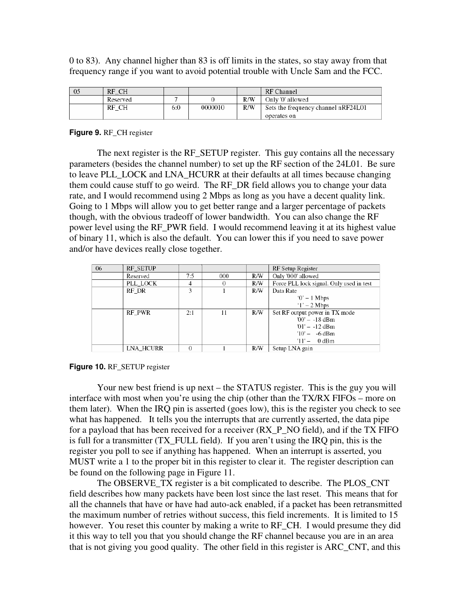0 to 83). Any channel higher than 83 is off limits in the states, so stay away from that frequency range if you want to avoid potential trouble with Uncle Sam and the FCC.

| - 05 | RF CH    |     |         |     | RF Channel                          |
|------|----------|-----|---------|-----|-------------------------------------|
|      | Reserved |     |         | R/W | Only '0' allowed                    |
|      | RF CH    | 6:0 | 0000010 | R/W | Sets the frequency channel nRF24L01 |
|      |          |     |         |     | operates on                         |

**Figure 9.** RF\_CH register

 The next register is the RF\_SETUP register. This guy contains all the necessary parameters (besides the channel number) to set up the RF section of the 24L01. Be sure to leave PLL\_LOCK and LNA\_HCURR at their defaults at all times because changing them could cause stuff to go weird. The RF\_DR field allows you to change your data rate, and I would recommend using 2 Mbps as long as you have a decent quality link. Going to 1 Mbps will allow you to get better range and a larger percentage of packets though, with the obvious tradeoff of lower bandwidth. You can also change the RF power level using the RF\_PWR field. I would recommend leaving it at its highest value of binary 11, which is also the default. You can lower this if you need to save power and/or have devices really close together.

| 06 | <b>RF_SETUP</b> |          |     |     | RF Setup Register                        |
|----|-----------------|----------|-----|-----|------------------------------------------|
|    | Reserved        | 7:5      | 000 | R/W | Only '000' allowed                       |
|    | PLL_LOCK        | 4        | 0   | R/W | Force PLL lock signal. Only used in test |
|    | RF DR           | 3        |     | R/W | Data Rate                                |
|    |                 |          |     |     | $0' - 1$ Mbps                            |
|    |                 |          |     |     | $1' - 2$ Mbps                            |
|    | RF PWR          | 2:1      | 11  | R/W | Set RF output power in TX mode           |
|    |                 |          |     |     | $00' - -18$ dBm                          |
|    |                 |          |     |     | $01' - -12$ dBm                          |
|    |                 |          |     |     | $10' - -6$ dBm                           |
|    |                 |          |     |     | $11' - 0$ dBm                            |
|    | LNA HCURR       | $\Omega$ |     | R/W | Setup LNA gain                           |

#### **Figure 10.** RF\_SETUP register

 Your new best friend is up next – the STATUS register. This is the guy you will interface with most when you're using the chip (other than the TX/RX FIFOs – more on them later). When the IRQ pin is asserted (goes low), this is the register you check to see what has happened. It tells you the interrupts that are currently asserted, the data pipe for a payload that has been received for a receiver  $(RX_P_NO$  field), and if the TX FIFO is full for a transmitter (TX\_FULL field). If you aren't using the IRQ pin, this is the register you poll to see if anything has happened. When an interrupt is asserted, you MUST write a 1 to the proper bit in this register to clear it. The register description can be found on the following page in Figure 11.

 The OBSERVE\_TX register is a bit complicated to describe. The PLOS\_CNT field describes how many packets have been lost since the last reset. This means that for all the channels that have or have had auto-ack enabled, if a packet has been retransmitted the maximum number of retries without success, this field increments. It is limited to 15 however. You reset this counter by making a write to RF CH. I would presume they did it this way to tell you that you should change the RF channel because you are in an area that is not giving you good quality. The other field in this register is ARC\_CNT, and this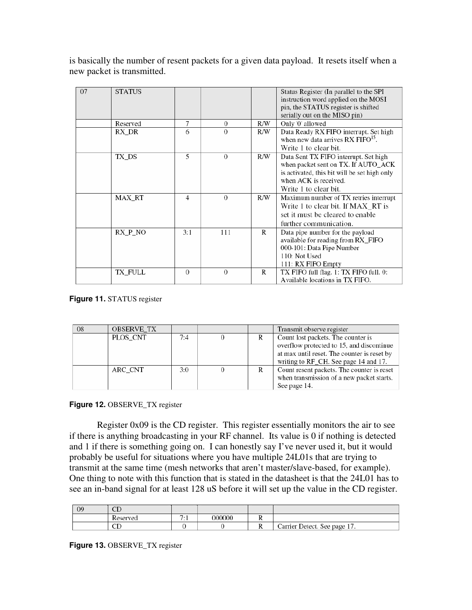is basically the number of resent packets for a given data payload. It resets itself when a new packet is transmitted.

| 07 | <b>STATUS</b> |          |          |     | Status Register (In parallel to the SPI       |
|----|---------------|----------|----------|-----|-----------------------------------------------|
|    |               |          |          |     | instruction word applied on the MOSI          |
|    |               |          |          |     | pin, the STATUS register is shifted           |
|    |               |          |          |     | serially out on the MISO pin)                 |
|    | Reserved      | 7        | $\Omega$ | R/W | Only '0' allowed                              |
|    | RX DR         | 6        | $\theta$ | R/W | Data Ready RX FIFO interrupt. Set high        |
|    |               |          |          |     | when new data arrives RX FIFO <sup>15</sup> . |
|    |               |          |          |     | Write 1 to clear bit.                         |
|    | TX DS         | 5        | $\Omega$ | R/W | Data Sent TX FIFO interrupt. Set high         |
|    |               |          |          |     | when packet sent on TX. If AUTO_ACK           |
|    |               |          |          |     | is activated, this bit will be set high only  |
|    |               |          |          |     | when ACK is received.                         |
|    |               |          |          |     | Write 1 to clear bit.                         |
|    | MAX RT        | 4        | $\Omega$ | R/W | Maximum number of TX retries interrupt        |
|    |               |          |          |     | Write 1 to clear bit. If MAX RT is            |
|    |               |          |          |     | set it must be cleared to enable              |
|    |               |          |          |     | further communication.                        |
|    | RX P NO       | 3:1      | 111      | R   | Data pipe number for the payload              |
|    |               |          |          |     | available for reading from RX_FIFO            |
|    |               |          |          |     | 000-101: Data Pipe Number                     |
|    |               |          |          |     | 110: Not Used                                 |
|    |               |          |          |     | 111: RX FIFO Empty                            |
|    | TX FULL       | $\Omega$ | $\Omega$ | R   | TX FIFO full flag. 1: TX FIFO full. 0:        |
|    |               |          |          |     | Available locations in TX FIFO.               |

**Figure 11.** STATUS register

| 08 | <b>OBSERVE_TX</b> |     |  | Transmit observe register                                                                                                                        |
|----|-------------------|-----|--|--------------------------------------------------------------------------------------------------------------------------------------------------|
|    | PLOS CNT          | 7:4 |  | Count lost packets. The counter is<br>overflow protected to 15, and discontinue<br>at max until reset. The counter is reset by                   |
|    | ARC CNT           | 3:0 |  | writing to RF_CH. See page 14 and 17.<br>Count resent packets. The counter is reset<br>when transmission of a new packet starts.<br>See page 14. |

### **Figure 12. OBSERVE\_TX register**

 Register 0x09 is the CD register. This register essentially monitors the air to see if there is anything broadcasting in your RF channel. Its value is 0 if nothing is detected and 1 if there is something going on. I can honestly say I've never used it, but it would probably be useful for situations where you have multiple 24L01s that are trying to transmit at the same time (mesh networks that aren't master/slave-based, for example). One thing to note with this function that is stated in the datasheet is that the 24L01 has to see an in-band signal for at least 128 uS before it will set up the value in the CD register.

| 09 | $\sqrt{\Gamma}$<br>∪∪ |   |        |                              |
|----|-----------------------|---|--------|------------------------------|
|    | Reserved              | . | 00000C |                              |
|    | σт<br>∪               |   |        | Carrier Detect. See page 17. |

**Figure 13.** OBSERVE\_TX register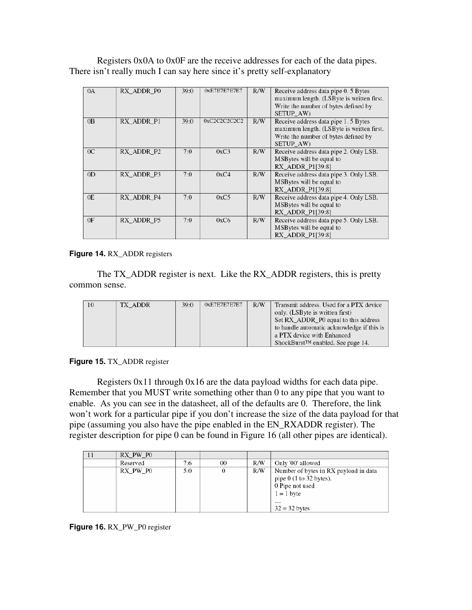Registers 0x0A to 0x0F are the receive addresses for each of the data pipes. There isn't really much I can say here since it's pretty self-explanatory

| 0A             | RX ADDR P0 | 39:0 | 0xE7E7E7E7E7 | R/W | Receive address data pipe 0. 5 Bytes      |
|----------------|------------|------|--------------|-----|-------------------------------------------|
|                |            |      |              |     | maximum length. (LSByte is written first. |
|                |            |      |              |     | Write the number of bytes defined by      |
|                |            |      |              |     | SETUP AW)                                 |
| 0 <sub>B</sub> | RX ADDR P1 | 39:0 | 0xC2C2C2C2C2 | R/W | Receive address data pipe 1.5 Bytes       |
|                |            |      |              |     | maximum length. (LSByte is written first. |
|                |            |      |              |     | Write the number of bytes defined by      |
|                |            |      |              |     | SETUP AW)                                 |
| 0 <sup>C</sup> | RX ADDR P2 | 7:0  | 0xC3         | R/W | Receive address data pipe 2. Only LSB.    |
|                |            |      |              |     | MSBytes will be equal to                  |
|                |            |      |              |     | RX_ADDR_P1[39:8]                          |
| OD             | RX ADDR P3 | 7:0  | 0xC4         | R/W | Receive address data pipe 3. Only LSB.    |
|                |            |      |              |     | MSBytes will be equal to                  |
|                |            |      |              |     | RX ADDR P1[39:8]                          |
| 0E             | RX ADDR P4 | 7:0  | 0xC5         | R/W | Receive address data pipe 4. Only LSB.    |
|                |            |      |              |     | MSBytes will be equal to                  |
|                |            |      |              |     | RX_ADDR_P1[39:8]                          |
| 0F             | RX ADDR P5 | 7:0  | 0xC6         | R/W | Receive address data pipe 5. Only LSB.    |
|                |            |      |              |     | MSBytes will be equal to                  |
|                |            |      |              |     | RX_ADDR_P1[39:8]                          |

**Figure 14.** RX\_ADDR registers

 The TX\_ADDR register is next. Like the RX\_ADDR registers, this is pretty common sense.

| 10 | TX ADDR | 39:0 | 0xE7E7E7E7E7 | R/W | Transmit address. Used for a PTX device       |
|----|---------|------|--------------|-----|-----------------------------------------------|
|    |         |      |              |     | only. (LSByte is written first)               |
|    |         |      |              |     | Set RX_ADDR_P0 equal to this address          |
|    |         |      |              |     | to handle automatic acknowledge if this is    |
|    |         |      |              |     | a PTX device with Enhanced                    |
|    |         |      |              |     | ShockBurst <sup>™</sup> enabled. See page 14. |

**Figure 15.** TX\_ADDR register

Registers 0x11 through 0x16 are the data payload widths for each data pipe. Remember that you MUST write something other than 0 to any pipe that you want to enable. As you can see in the datasheet, all of the defaults are 0. Therefore, the link won't work for a particular pipe if you don't increase the size of the data payload for that pipe (assuming you also have the pipe enabled in the EN\_RXADDR register). The register description for pipe 0 can be found in Figure 16 (all other pipes are identical).

| RX PW P0 |     |    |     |                                       |
|----------|-----|----|-----|---------------------------------------|
| Reserved | 7:6 | 00 | R/W | Only '00' allowed                     |
| RX PW P0 | 5:0 | 0  | R/W | Number of bytes in RX payload in data |
|          |     |    |     | pipe $0$ (1 to 32 bytes).             |
|          |     |    |     | 0 Pipe not used                       |
|          |     |    |     | $1 = 1$ byte                          |
|          |     |    |     | $\cdots$                              |
|          |     |    |     | $32 = 32$ bytes                       |

**Figure 16.** RX\_PW\_P0 register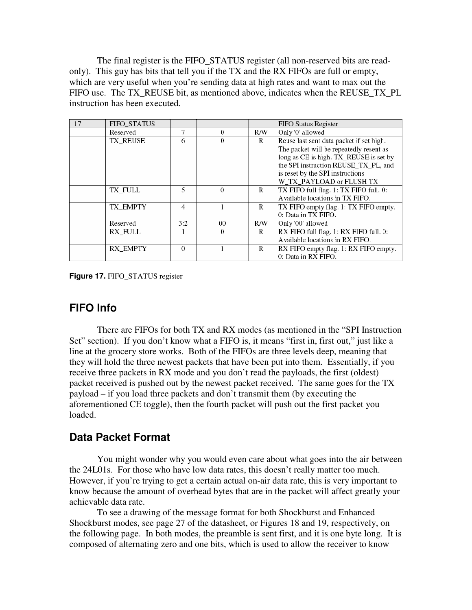The final register is the FIFO\_STATUS register (all non-reserved bits are readonly). This guy has bits that tell you if the TX and the RX FIFOs are full or empty, which are very useful when you're sending data at high rates and want to max out the FIFO use. The TX\_REUSE bit, as mentioned above, indicates when the REUSE\_TX\_PL instruction has been executed.

| 17 | FIFO STATUS     |          |          |     | FIFO Status Register                     |
|----|-----------------|----------|----------|-----|------------------------------------------|
|    | Reserved        | 7        | $\Omega$ | R/W | Only '0' allowed                         |
|    | TX REUSE        | 6        | $\Omega$ | R   | Reuse last sent data packet if set high. |
|    |                 |          |          |     | The packet will be repeatedly resent as  |
|    |                 |          |          |     | long as CE is high. TX_REUSE is set by   |
|    |                 |          |          |     | the SPI instruction REUSE_TX_PL, and     |
|    |                 |          |          |     | is reset by the SPI instructions         |
|    |                 |          |          |     | W_TX_PAYLOAD or FLUSH TX                 |
|    | TX FULL         | 5        | $\Omega$ | R   | TX FIFO full flag. 1: TX FIFO full. 0:   |
|    |                 |          |          |     | Available locations in TX FIFO.          |
|    | TX EMPTY        | 4        |          | R   | TX FIFO empty flag. 1: TX FIFO empty.    |
|    |                 |          |          |     | 0: Data in TX FIFO.                      |
|    | Reserved        | 3:2      | 00       | R/W | Only '00' allowed                        |
|    | <b>RX FULL</b>  |          | $\theta$ | R   | RX FIFO full flag. 1: RX FIFO full. 0:   |
|    |                 |          |          |     | Available locations in RX FIFO.          |
|    | <b>RX EMPTY</b> | $\Omega$ |          | R   | RX FIFO empty flag. 1: RX FIFO empty.    |
|    |                 |          |          |     | 0: Data in RX FIFO.                      |

**Figure 17.** FIFO\_STATUS register

# **FIFO Info**

There are FIFOs for both TX and RX modes (as mentioned in the "SPI Instruction Set" section). If you don't know what a FIFO is, it means "first in, first out," just like a line at the grocery store works. Both of the FIFOs are three levels deep, meaning that they will hold the three newest packets that have been put into them. Essentially, if you receive three packets in RX mode and you don't read the payloads, the first (oldest) packet received is pushed out by the newest packet received. The same goes for the TX payload – if you load three packets and don't transmit them (by executing the aforementioned CE toggle), then the fourth packet will push out the first packet you loaded.

### **Data Packet Format**

You might wonder why you would even care about what goes into the air between the 24L01s. For those who have low data rates, this doesn't really matter too much. However, if you're trying to get a certain actual on-air data rate, this is very important to know because the amount of overhead bytes that are in the packet will affect greatly your achievable data rate.

To see a drawing of the message format for both Shockburst and Enhanced Shockburst modes, see page 27 of the datasheet, or Figures 18 and 19, respectively, on the following page. In both modes, the preamble is sent first, and it is one byte long. It is composed of alternating zero and one bits, which is used to allow the receiver to know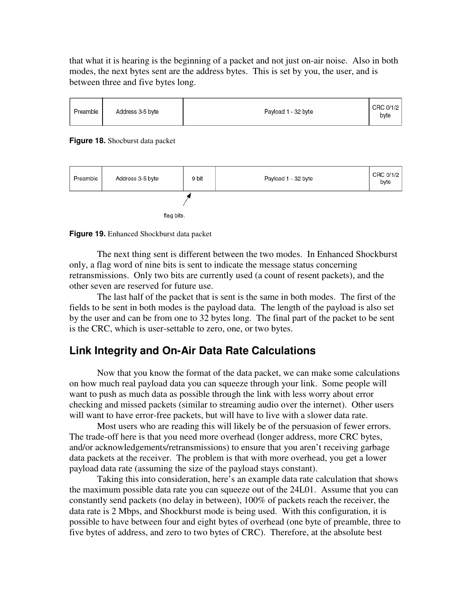that what it is hearing is the beginning of a packet and not just on-air noise. Also in both modes, the next bytes sent are the address bytes. This is set by you, the user, and is between three and five bytes long.



#### **Figure 18.** Shocburst data packet



**Figure 19.** Enhanced Shockburst data packet

The next thing sent is different between the two modes. In Enhanced Shockburst only, a flag word of nine bits is sent to indicate the message status concerning retransmissions. Only two bits are currently used (a count of resent packets), and the other seven are reserved for future use.

The last half of the packet that is sent is the same in both modes. The first of the fields to be sent in both modes is the payload data. The length of the payload is also set by the user and can be from one to 32 bytes long. The final part of the packet to be sent is the CRC, which is user-settable to zero, one, or two bytes.

# **Link Integrity and On-Air Data Rate Calculations**

Now that you know the format of the data packet, we can make some calculations on how much real payload data you can squeeze through your link. Some people will want to push as much data as possible through the link with less worry about error checking and missed packets (similar to streaming audio over the internet). Other users will want to have error-free packets, but will have to live with a slower data rate.

Most users who are reading this will likely be of the persuasion of fewer errors. The trade-off here is that you need more overhead (longer address, more CRC bytes, and/or acknowledgements/retransmissions) to ensure that you aren't receiving garbage data packets at the receiver. The problem is that with more overhead, you get a lower payload data rate (assuming the size of the payload stays constant).

Taking this into consideration, here's an example data rate calculation that shows the maximum possible data rate you can squeeze out of the 24L01. Assume that you can constantly send packets (no delay in between), 100% of packets reach the receiver, the data rate is 2 Mbps, and Shockburst mode is being used. With this configuration, it is possible to have between four and eight bytes of overhead (one byte of preamble, three to five bytes of address, and zero to two bytes of CRC). Therefore, at the absolute best